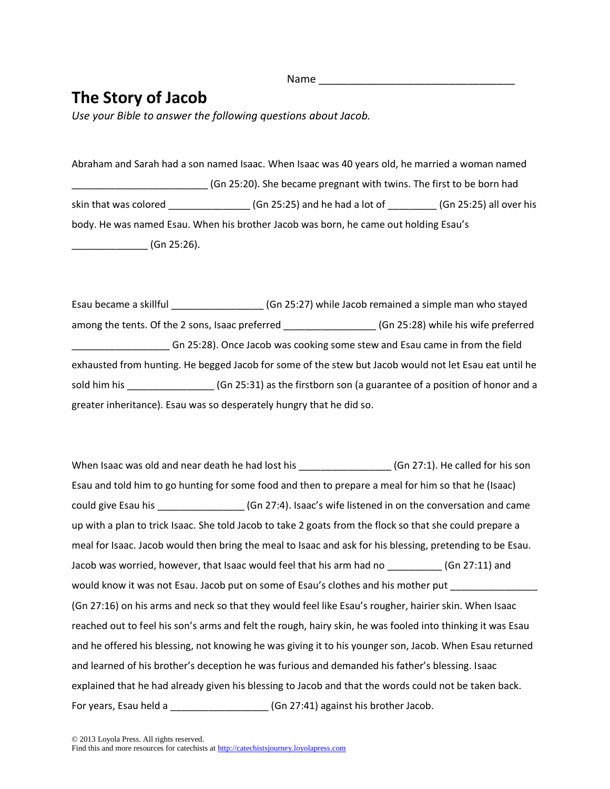## **The Story of Jacob**

*Use your Bible to answer the following questions about Jacob.*

Abraham and Sarah had a son named Isaac. When Isaac was 40 years old, he married a woman named \_\_\_\_\_\_\_\_\_\_\_\_\_\_\_\_\_\_\_\_\_\_\_\_\_ (Gn 25:20). She became pregnant with twins. The first to be born had skin that was colored \_\_\_\_\_\_\_\_\_\_\_\_\_\_\_\_\_\_\_\_\_(Gn 25:25) and he had a lot of \_\_\_\_\_\_\_\_\_\_(Gn 25:25) all over his body. He was named Esau. When his brother Jacob was born, he came out holding Esau's \_\_\_\_\_\_\_\_\_\_\_\_\_\_ (Gn 25:26).

Esau became a skillful **Exau became a skillful Exau became a simple man who stayed** among the tents. Of the 2 sons, Isaac preferred \_\_\_\_\_\_\_\_\_\_\_\_\_\_\_\_\_\_\_(Gn 25:28) while his wife preferred \_\_\_\_\_\_\_\_\_\_\_\_\_\_\_\_\_\_ Gn 25:28). Once Jacob was cooking some stew and Esau came in from the field exhausted from hunting. He begged Jacob for some of the stew but Jacob would not let Esau eat until he sold him his \_\_\_\_\_\_\_\_\_\_\_\_\_\_\_\_\_\_\_\_\_(Gn 25:31) as the firstborn son (a guarantee of a position of honor and a greater inheritance). Esau was so desperately hungry that he did so.

When Isaac was old and near death he had lost his \_\_\_\_\_\_\_\_\_\_\_\_\_\_\_\_\_\_\_\_\_\_(Gn 27:1). He called for his son Esau and told him to go hunting for some food and then to prepare a meal for him so that he (Isaac) could give Esau his \_\_\_\_\_\_\_\_\_\_\_\_\_\_\_\_ (Gn 27:4). Isaac's wife listened in on the conversation and came up with a plan to trick Isaac. She told Jacob to take 2 goats from the flock so that she could prepare a meal for Isaac. Jacob would then bring the meal to Isaac and ask for his blessing, pretending to be Esau. Jacob was worried, however, that Isaac would feel that his arm had no  $(6n 27:11)$  and would know it was not Esau. Jacob put on some of Esau's clothes and his mother put (Gn 27:16) on his arms and neck so that they would feel like Esau's rougher, hairier skin. When Isaac reached out to feel his son's arms and felt the rough, hairy skin, he was fooled into thinking it was Esau and he offered his blessing, not knowing he was giving it to his younger son, Jacob. When Esau returned and learned of his brother's deception he was furious and demanded his father's blessing. Isaac explained that he had already given his blessing to Jacob and that the words could not be taken back. For years, Esau held a \_\_\_\_\_\_\_\_\_\_\_\_\_\_\_\_\_\_\_\_\_\_(Gn 27:41) against his brother Jacob.